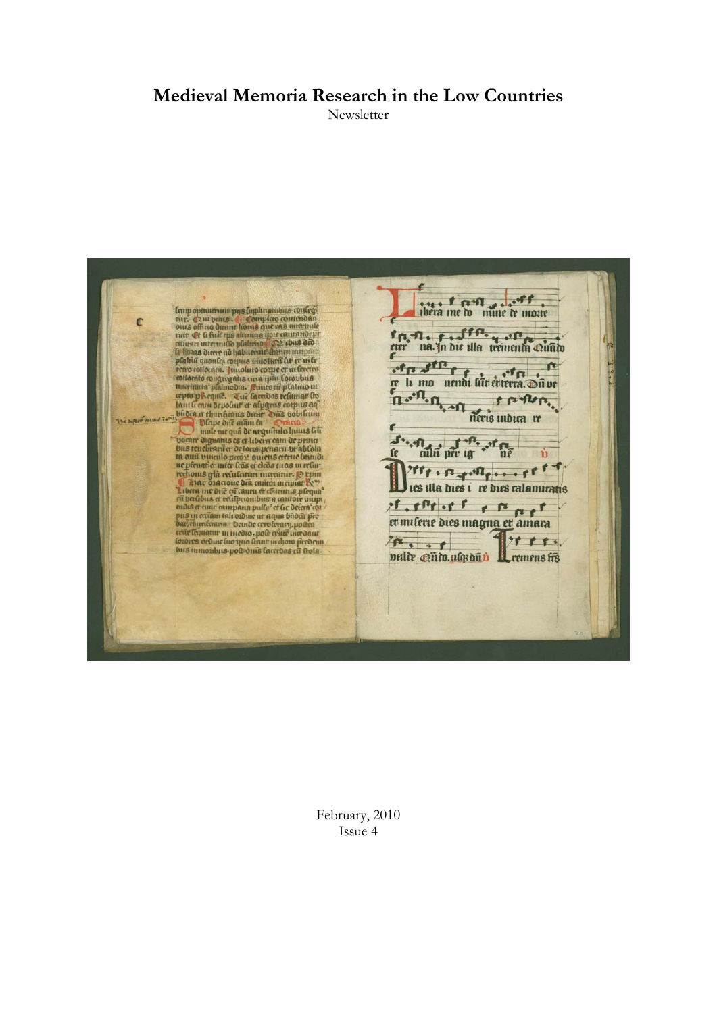# **Medieval Memoria Research in the Low Countries**

Newsletter

were the mine te more l'any optimative pus l'opplinamente confegi<br>tret. Caut vittos de Completo contendata<br>oute oficia derne lorne que esa une modo<br>entre el chief ris alimnati por cautation p<br>cautant uterium lo platerios (C22 i bus dro.<br>la lina fre na In hie illa trementa cuato can be a compared of the comparison of the compared of the same of the finding of the content of the content of the content of the content of the content of the content of the content of the content of the content of the c of p of the complete contents with the same of the same of the same of the same of the same of the same of the same of the same of the same of the same of the same of the same of the same of the same of the same of the sam <sup>S</sup> all per ig <sup>. P.</sup> of fie **fe** Urre . E . Me . . . et f d of of the or for the poor of the part of the part of the part of the part of the part of the part of the set of the part of the set of the set of the set of the set of the set of the set of the set of the set of the set of  $28.5.5$  $10.00$ palir @nto.ulqsbub Leemens fis

February, 2010 Issue 4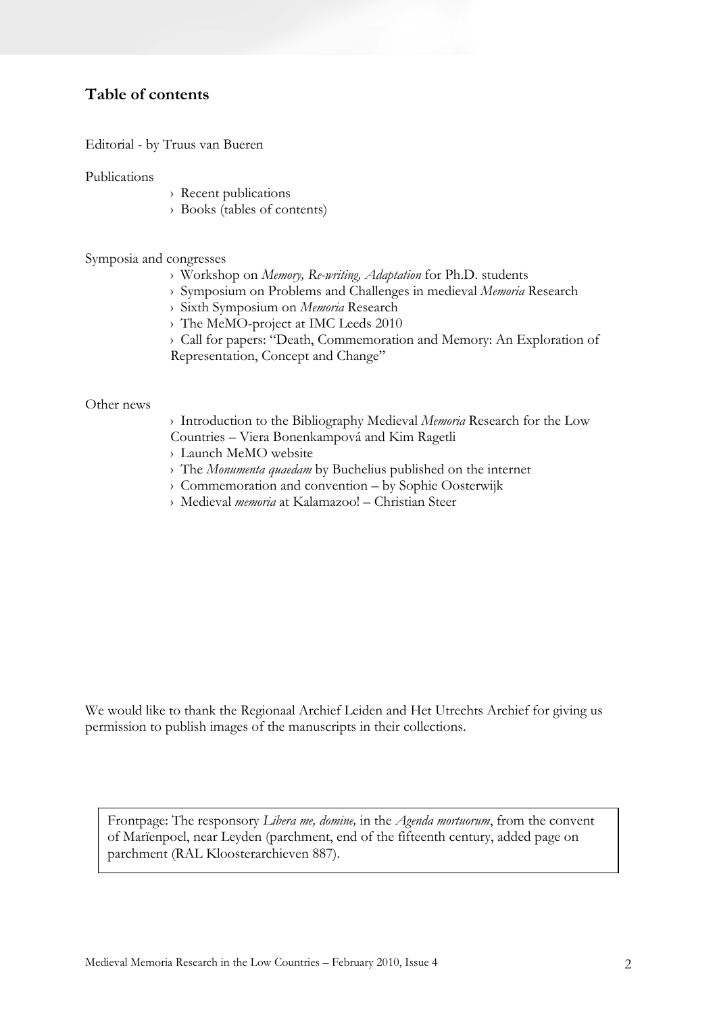# **Table of contents**

Editorial - by Truus van Bueren

Publications

- › Recent publications
- › Books (tables of contents)

Symposia and congresses

- › Workshop on *Memory, Re-writing, Adaptation* for Ph.D. students
- › Symposium on Problems and Challenges in medieval *Memoria* Research
- › Sixth Symposium on *Memoria* Research
- › The MeMO-project at IMC Leeds 2010
- › Call for papers: "Death, Commemoration and Memory: An Exploration of

Representation, Concept and Change"

#### Other news

- › Introduction to the Bibliography Medieval *Memoria* Research for the Low Countries – Viera Bonenkampová and Kim Ragetli
- › Launch MeMO website
- › The *Monumenta quaedam* by Buchelius published on the internet
- › Commemoration and convention by Sophie Oosterwijk
- › Medieval *memoria* at Kalamazoo! Christian Steer

We would like to thank the Regionaal Archief Leiden and Het Utrechts Archief for giving us permission to publish images of the manuscripts in their collections.

Frontpage: The responsory *Libera me, domine,* in the *Agenda mortuorum*, from the convent of Marïenpoel, near Leyden (parchment, end of the fifteenth century, added page on parchment (RAL Kloosterarchieven 887).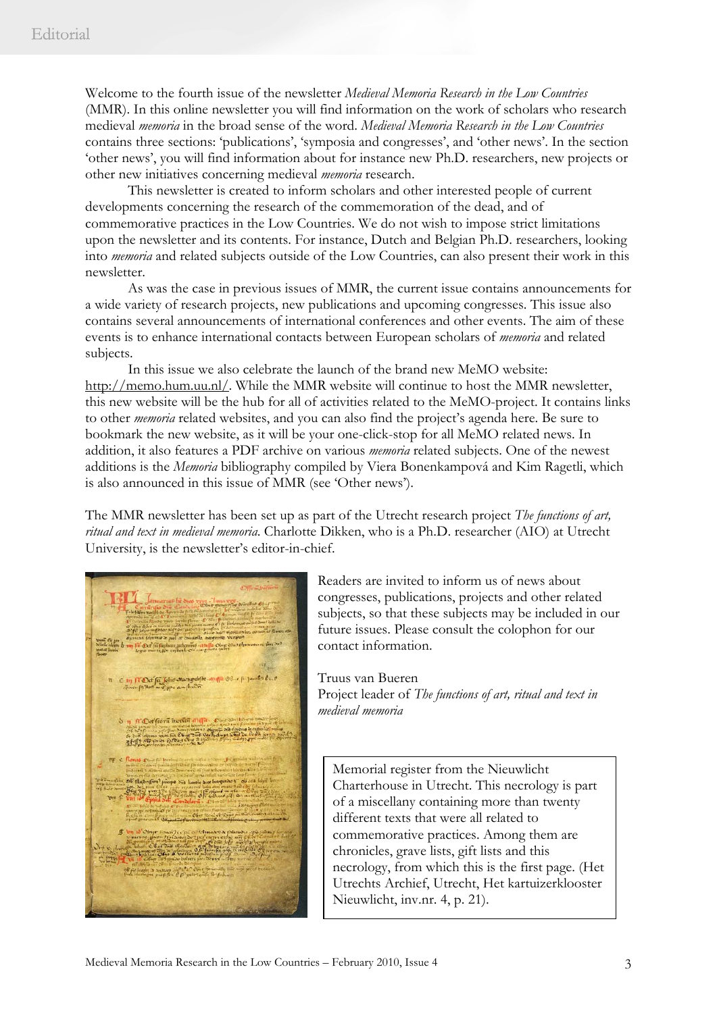Welcome to the fourth issue of the newsletter *Medieval Memoria Research in the Low Countries* (MMR). In this online newsletter you will find information on the work of scholars who research medieval *memoria* in the broad sense of the word. *Medieval Memoria Research in the Low Countries* contains three sections: 'publications', 'symposia and congresses', and 'other news'. In the section 'other news', you will find information about for instance new Ph.D. researchers, new projects or other new initiatives concerning medieval *memoria* research.

This newsletter is created to inform scholars and other interested people of current developments concerning the research of the commemoration of the dead, and of commemorative practices in the Low Countries. We do not wish to impose strict limitations upon the newsletter and its contents. For instance, Dutch and Belgian Ph.D. researchers, looking into *memoria* and related subjects outside of the Low Countries, can also present their work in this newsletter.

As was the case in previous issues of MMR, the current issue contains announcements for a wide variety of research projects, new publications and upcoming congresses. This issue also contains several announcements of international conferences and other events. The aim of these events is to enhance international contacts between European scholars of *memoria* and related subjects.

In this issue we also celebrate the launch of the brand new MeMO website: http://memo.hum.uu.nl/. While the MMR website will continue to host the MMR newsletter, this new website will be the hub for all of activities related to the MeMO-project. It contains links to other *memoria* related websites, and you can also find the project's agenda here. Be sure to bookmark the new website, as it will be your one-click-stop for all MeMO related news. In addition, it also features a PDF archive on various *memoria* related subjects. One of the newest additions is the *Memoria* bibliography compiled by Viera Bonenkampová and Kim Ragetli, which is also announced in this issue of MMR (see 'Other news').

The MMR newsletter has been set up as part of the Utrecht research project *The functions of art, ritual and text in medieval memoria*. Charlotte Dikken, who is a Ph.D. researcher (AIO) at Utrecht University, is the newsletter's editor-in-chief.

m fl'Det'fa John en mydifie n Wales from moren anga. Din Ob diamontant in of the Tas, of

Readers are invited to inform us of news about congresses, publications, projects and other related subjects, so that these subjects may be included in our future issues. Please consult the colophon for our contact information.

Truus van Bueren Project leader of *The functions of art, ritual and text in medieval memoria* 

Memorial register from the Nieuwlicht Charterhouse in Utrecht. This necrology is part of a miscellany containing more than twenty different texts that were all related to commemorative practices. Among them are chronicles, grave lists, gift lists and this necrology, from which this is the first page. (Het Utrechts Archief, Utrecht, Het kartuizerklooster Nieuwlicht, inv.nr. 4, p. 21).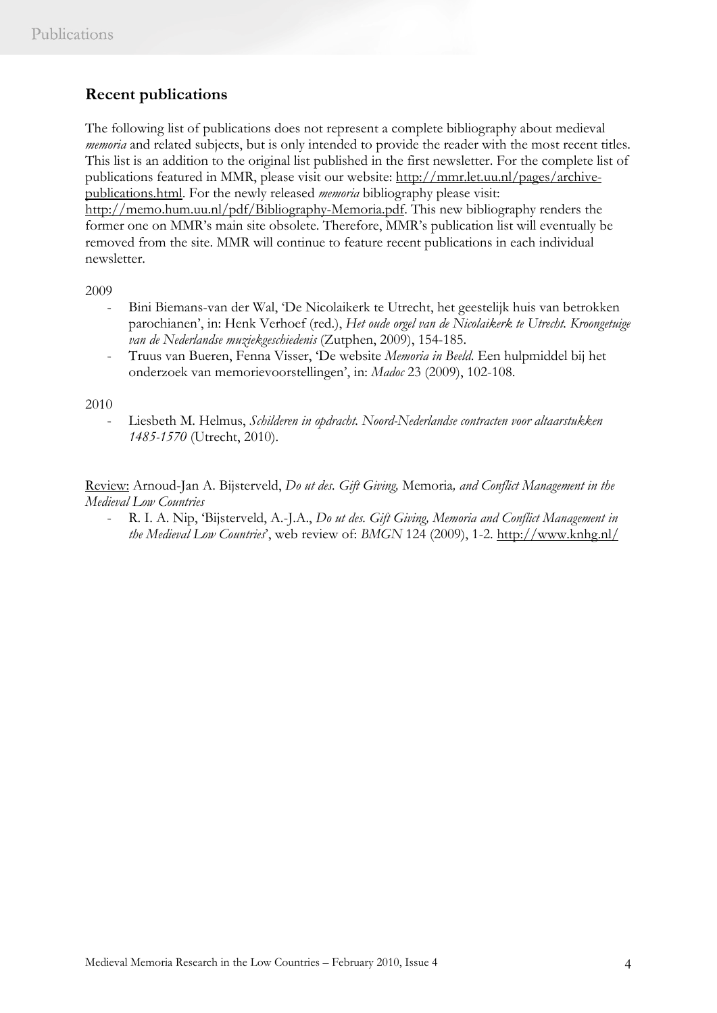# **Recent publications**

The following list of publications does not represent a complete bibliography about medieval *memoria* and related subjects, but is only intended to provide the reader with the most recent titles. This list is an addition to the original list published in the first newsletter. For the complete list of publications featured in MMR, please visit our website: http://mmr.let.uu.nl/pages/archivepublications.html. For the newly released *memoria* bibliography please visit: http://memo.hum.uu.nl/pdf/Bibliography-Memoria.pdf. This new bibliography renders the former one on MMR's main site obsolete. Therefore, MMR's publication list will eventually be removed from the site. MMR will continue to feature recent publications in each individual newsletter.

2009

- Bini Biemans-van der Wal, 'De Nicolaikerk te Utrecht, het geestelijk huis van betrokken parochianen', in: Henk Verhoef (red.), *Het oude orgel van de Nicolaikerk te Utrecht. Kroongetuige van de Nederlandse muziekgeschiedenis* (Zutphen, 2009), 154-185.
- Truus van Bueren, Fenna Visser, 'De website *Memoria in Beeld*. Een hulpmiddel bij het onderzoek van memorievoorstellingen', in: *Madoc* 23 (2009), 102-108.

2010

- Liesbeth M. Helmus, *Schilderen in opdracht. Noord-Nederlandse contracten voor altaarstukken 1485-1570* (Utrecht, 2010).

Review: Arnoud-Jan A. Bijsterveld, *Do ut des. Gift Giving,* Memoria*, and Conflict Management in the Medieval Low Countries*

- R. I. A. Nip, 'Bijsterveld, A.-J.A., *Do ut des. Gift Giving, Memoria and Conflict Management in the Medieval Low Countries*', web review of: *BMGN* 124 (2009), 1-2. http://www.knhg.nl/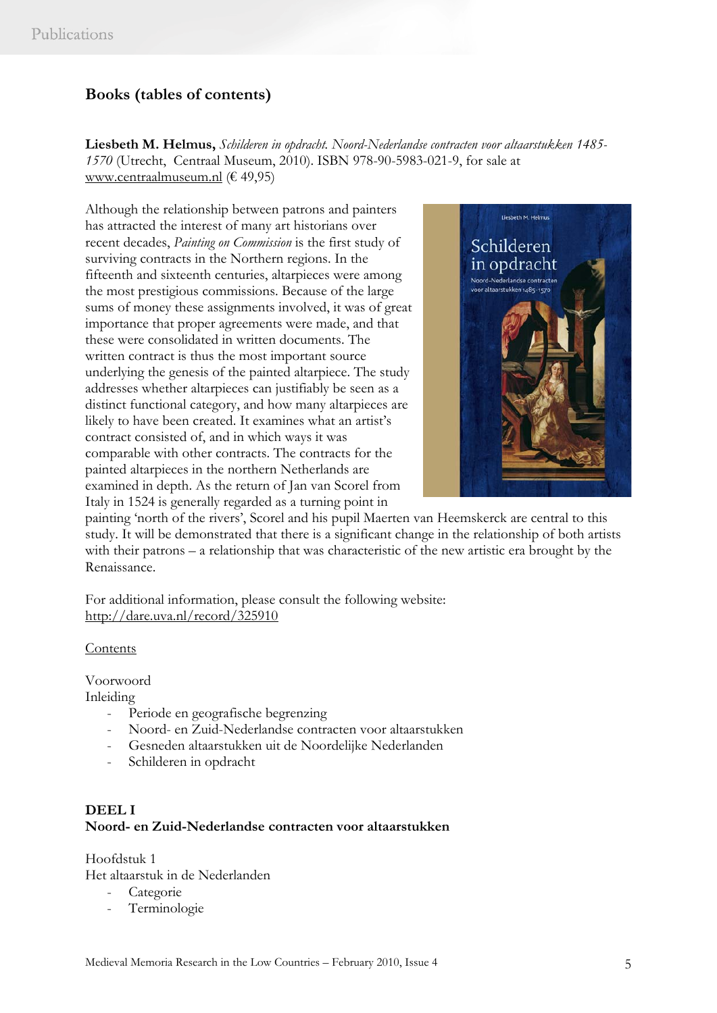# **Books (tables of contents)**

**Liesbeth M. Helmus,** *Schilderen in opdracht. Noord-Nederlandse contracten voor altaarstukken 1485- 1570* (Utrecht, Centraal Museum, 2010). ISBN 978-90-5983-021-9, for sale at www.centraalmuseum.nl (€ 49,95)

Although the relationship between patrons and painters has attracted the interest of many art historians over recent decades, *Painting on Commission* is the first study of surviving contracts in the Northern regions. In the fifteenth and sixteenth centuries, altarpieces were among the most prestigious commissions. Because of the large sums of money these assignments involved, it was of great importance that proper agreements were made, and that these were consolidated in written documents. The written contract is thus the most important source underlying the genesis of the painted altarpiece. The study addresses whether altarpieces can justifiably be seen as a distinct functional category, and how many altarpieces are likely to have been created. It examines what an artist's contract consisted of, and in which ways it was comparable with other contracts. The contracts for the painted altarpieces in the northern Netherlands are examined in depth. As the return of Jan van Scorel from Italy in 1524 is generally regarded as a turning point in



painting 'north of the rivers', Scorel and his pupil Maerten van Heemskerck are central to this study. It will be demonstrated that there is a significant change in the relationship of both artists with their patrons – a relationship that was characteristic of the new artistic era brought by the Renaissance.

For additional information, please consult the following website: http://dare.uva.nl/record/325910

Contents

Voorwoord

Inleiding

- Periode en geografische begrenzing
- Noord- en Zuid-Nederlandse contracten voor altaarstukken
- Gesneden altaarstukken uit de Noordelijke Nederlanden
- Schilderen in opdracht

## **DEEL I Noord- en Zuid-Nederlandse contracten voor altaarstukken**

Hoofdstuk 1 Het altaarstuk in de Nederlanden

- Categorie
- Terminologie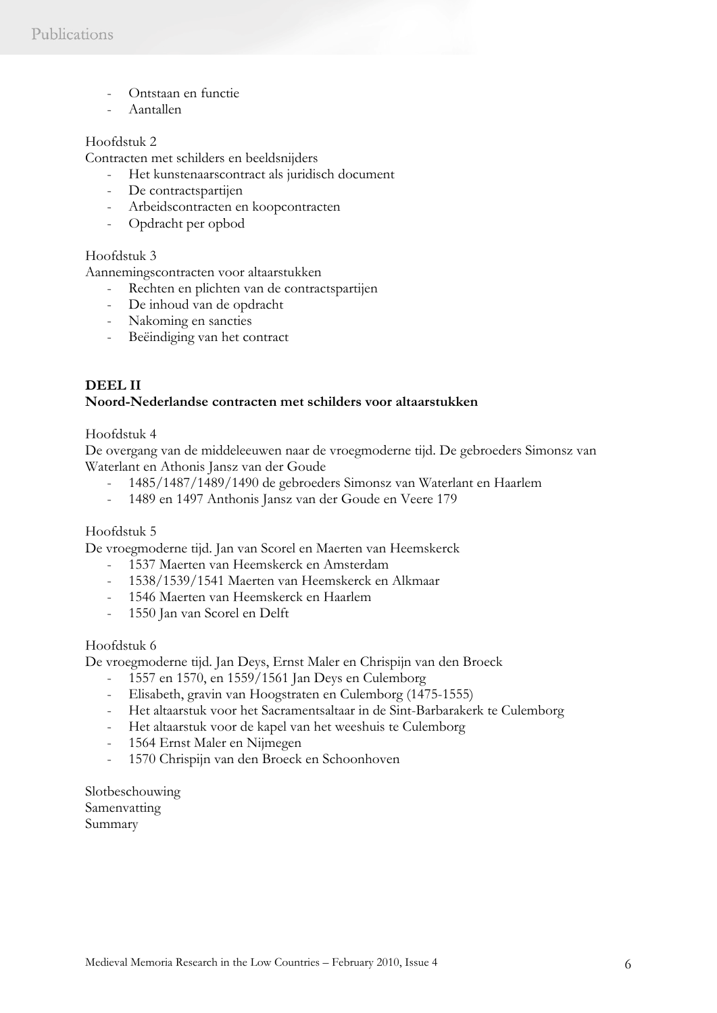- Ontstaan en functie
- Aantallen

### Hoofdstuk 2

Contracten met schilders en beeldsnijders

- Het kunstenaarscontract als juridisch document
- De contractspartijen
- Arbeidscontracten en koopcontracten
- Opdracht per opbod

### Hoofdstuk 3

Aannemingscontracten voor altaarstukken

- Rechten en plichten van de contractspartijen
- De inhoud van de opdracht
- Nakoming en sancties
- Beëindiging van het contract

# **DEEL II Noord-Nederlandse contracten met schilders voor altaarstukken**

#### Hoofdstuk 4

De overgang van de middeleeuwen naar de vroegmoderne tijd. De gebroeders Simonsz van Waterlant en Athonis Jansz van der Goude

- 1485/1487/1489/1490 de gebroeders Simonsz van Waterlant en Haarlem
- 1489 en 1497 Anthonis Jansz van der Goude en Veere 179

#### Hoofdstuk 5

De vroegmoderne tijd. Jan van Scorel en Maerten van Heemskerck

- 1537 Maerten van Heemskerck en Amsterdam
- 1538/1539/1541 Maerten van Heemskerck en Alkmaar
- 1546 Maerten van Heemskerck en Haarlem
- 1550 Jan van Scorel en Delft

#### Hoofdstuk 6

De vroegmoderne tijd. Jan Deys, Ernst Maler en Chrispijn van den Broeck

- 1557 en 1570, en 1559/1561 Jan Deys en Culemborg
- Elisabeth, gravin van Hoogstraten en Culemborg (1475-1555)
- Het altaarstuk voor het Sacramentsaltaar in de Sint-Barbarakerk te Culemborg
- Het altaarstuk voor de kapel van het weeshuis te Culemborg
- 1564 Ernst Maler en Nijmegen
- 1570 Chrispijn van den Broeck en Schoonhoven

Slotbeschouwing Samenvatting Summary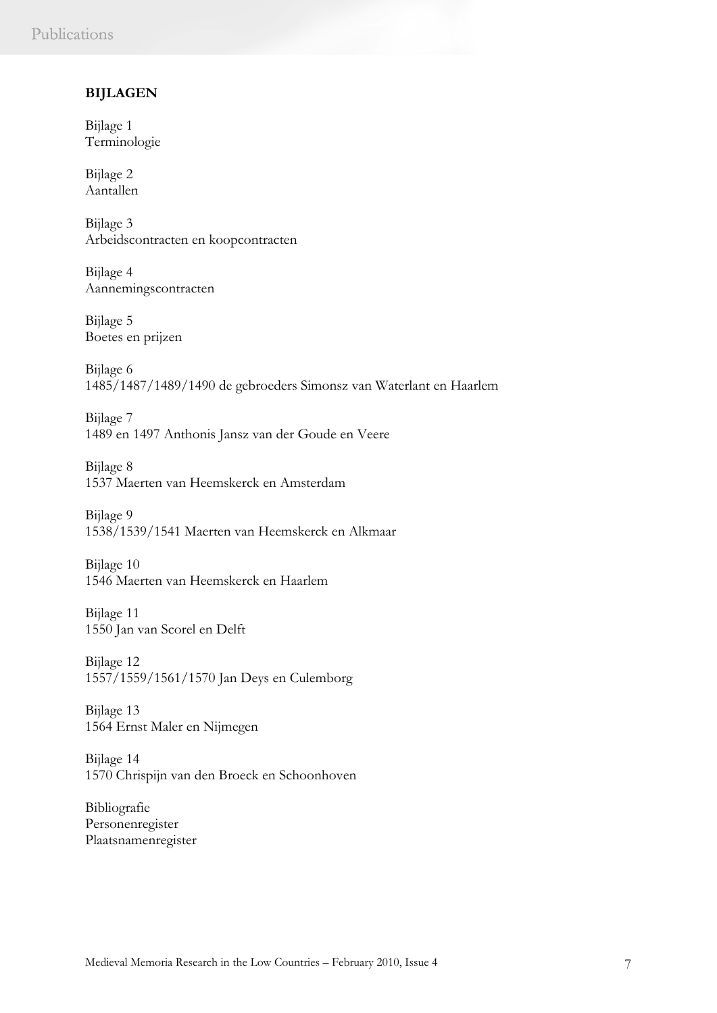### **BIJLAGEN**

Bijlage 1 Terminologie

Bijlage 2 Aantallen

Bijlage 3 Arbeidscontracten en koopcontracten

Bijlage 4 Aannemingscontracten

Bijlage 5 Boetes en prijzen

Bijlage 6 1485/1487/1489/1490 de gebroeders Simonsz van Waterlant en Haarlem

Bijlage 7 1489 en 1497 Anthonis Jansz van der Goude en Veere

Bijlage 8 1537 Maerten van Heemskerck en Amsterdam

Bijlage 9 1538/1539/1541 Maerten van Heemskerck en Alkmaar

Bijlage 10 1546 Maerten van Heemskerck en Haarlem

Bijlage 11 1550 Jan van Scorel en Delft

Bijlage 12 1557/1559/1561/1570 Jan Deys en Culemborg

Bijlage 13 1564 Ernst Maler en Nijmegen

Bijlage 14 1570 Chrispijn van den Broeck en Schoonhoven

Bibliografie Personenregister Plaatsnamenregister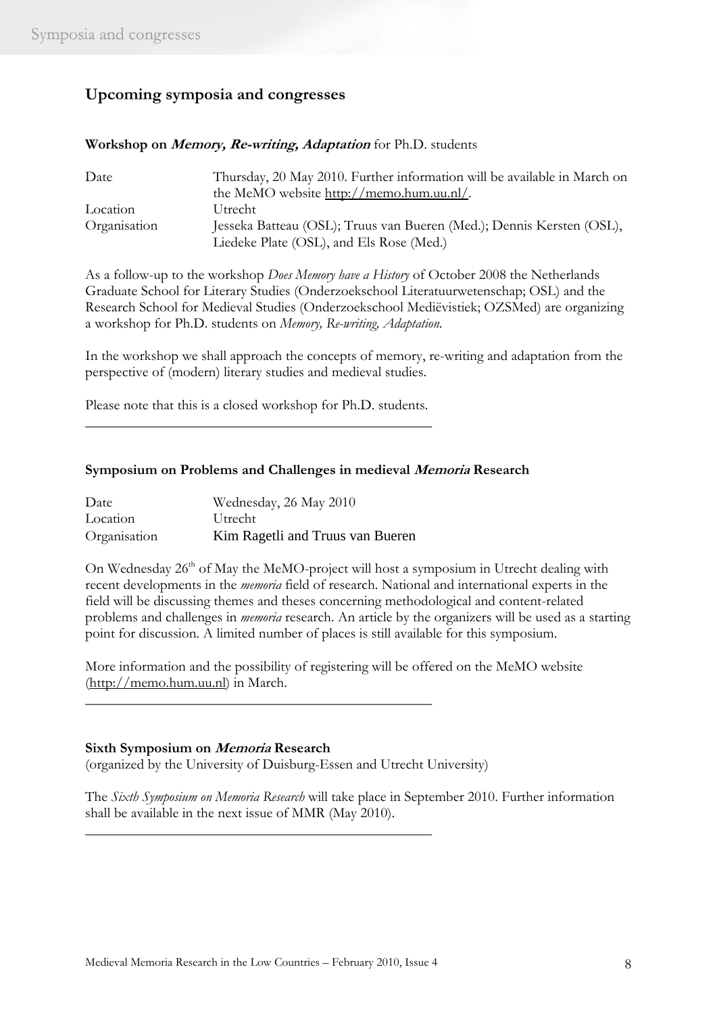# **Upcoming symposia and congresses**

| Date         | Thursday, 20 May 2010. Further information will be available in March on |
|--------------|--------------------------------------------------------------------------|
|              | the MeMO website http://memo.hum.uu.nl/.                                 |
| Location     | Utrecht                                                                  |
| Organisation | Jesseka Batteau (OSL); Truus van Bueren (Med.); Dennis Kersten (OSL),    |
|              | Liedeke Plate (OSL), and Els Rose (Med.)                                 |

**Workshop on Memory, Re-writing, Adaptation** for Ph.D. students

As a follow-up to the workshop *Does Memory have a History* of October 2008 the Netherlands Graduate School for Literary Studies (Onderzoekschool Literatuurwetenschap; OSL) and the Research School for Medieval Studies (Onderzoekschool Mediëvistiek; OZSMed) are organizing a workshop for Ph.D. students on *Memory, Re-writing, Adaptation.*

In the workshop we shall approach the concepts of memory, re-writing and adaptation from the perspective of (modern) literary studies and medieval studies.

Please note that this is a closed workshop for Ph.D. students. \_\_\_\_\_\_\_\_\_\_\_\_\_\_\_\_\_\_\_\_\_\_\_\_\_\_\_\_\_\_\_\_\_\_\_\_\_\_\_\_\_\_\_\_\_\_\_\_

#### **Symposium on Problems and Challenges in medieval Memoria Research**

| Date         | Wednesday, 26 May 2010           |
|--------------|----------------------------------|
| Location     | Utrecht                          |
| Organisation | Kim Ragetli and Truus van Bueren |

On Wednesday  $26<sup>th</sup>$  of May the MeMO-project will host a symposium in Utrecht dealing with recent developments in the *memoria* field of research. National and international experts in the field will be discussing themes and theses concerning methodological and content-related problems and challenges in *memoria* research. An article by the organizers will be used as a starting point for discussion. A limited number of places is still available for this symposium.

More information and the possibility of registering will be offered on the MeMO website (http://memo.hum.uu.nl) in March.

#### **Sixth Symposium on Memoria Research**

(organized by the University of Duisburg-Essen and Utrecht University)

\_\_\_\_\_\_\_\_\_\_\_\_\_\_\_\_\_\_\_\_\_\_\_\_\_\_\_\_\_\_\_\_\_\_\_\_\_\_\_\_\_\_\_\_\_\_\_\_

\_\_\_\_\_\_\_\_\_\_\_\_\_\_\_\_\_\_\_\_\_\_\_\_\_\_\_\_\_\_\_\_\_\_\_\_\_\_\_\_\_\_\_\_\_\_\_\_

The *Sixth Symposium on Memoria Research* will take place in September 2010. Further information shall be available in the next issue of MMR (May 2010).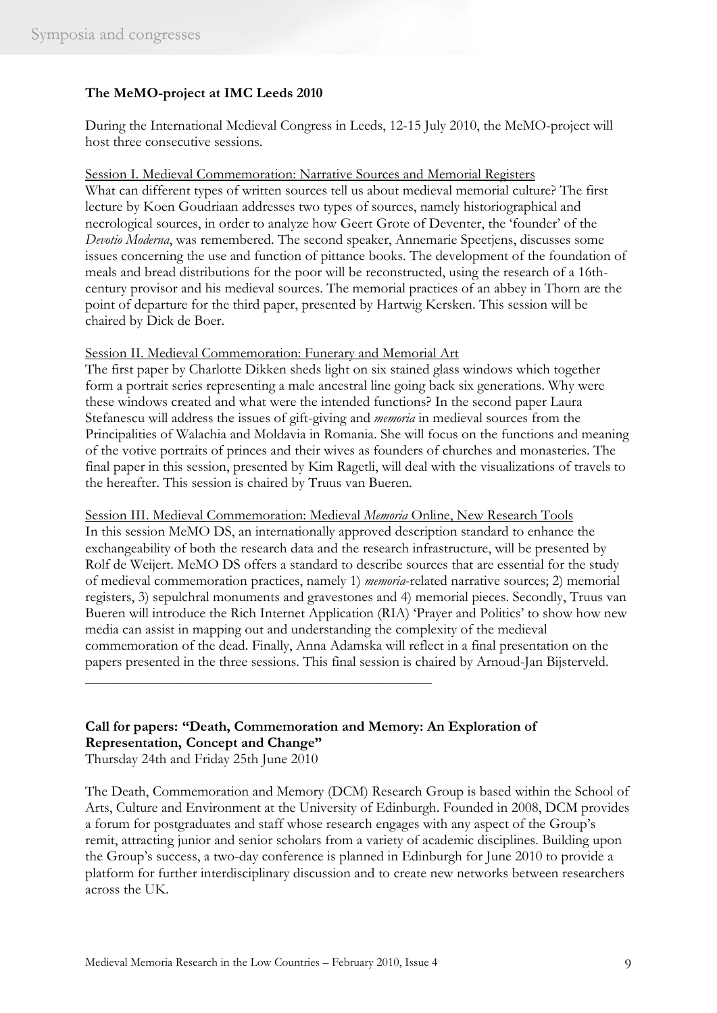# **The MeMO-project at IMC Leeds 2010**

During the International Medieval Congress in Leeds, 12-15 July 2010, the MeMO-project will host three consecutive sessions.

Session I. Medieval Commemoration: Narrative Sources and Memorial Registers What can different types of written sources tell us about medieval memorial culture? The first lecture by Koen Goudriaan addresses two types of sources, namely historiographical and necrological sources, in order to analyze how Geert Grote of Deventer, the 'founder' of the *Devotio Moderna*, was remembered. The second speaker, Annemarie Speetjens, discusses some issues concerning the use and function of pittance books. The development of the foundation of meals and bread distributions for the poor will be reconstructed, using the research of a 16thcentury provisor and his medieval sources. The memorial practices of an abbey in Thorn are the point of departure for the third paper, presented by Hartwig Kersken. This session will be chaired by Dick de Boer.

#### Session II. Medieval Commemoration: Funerary and Memorial Art

The first paper by Charlotte Dikken sheds light on six stained glass windows which together form a portrait series representing a male ancestral line going back six generations. Why were these windows created and what were the intended functions? In the second paper Laura Stefanescu will address the issues of gift-giving and *memoria* in medieval sources from the Principalities of Walachia and Moldavia in Romania. She will focus on the functions and meaning of the votive portraits of princes and their wives as founders of churches and monasteries. The final paper in this session, presented by Kim Ragetli, will deal with the visualizations of travels to the hereafter. This session is chaired by Truus van Bueren.

Session III. Medieval Commemoration: Medieval *Memoria* Online, New Research Tools In this session MeMO DS, an internationally approved description standard to enhance the exchangeability of both the research data and the research infrastructure, will be presented by Rolf de Weijert. MeMO DS offers a standard to describe sources that are essential for the study of medieval commemoration practices, namely 1) *memoria*-related narrative sources; 2) memorial registers, 3) sepulchral monuments and gravestones and 4) memorial pieces. Secondly, Truus van Bueren will introduce the Rich Internet Application (RIA) 'Prayer and Politics' to show how new media can assist in mapping out and understanding the complexity of the medieval commemoration of the dead. Finally, Anna Adamska will reflect in a final presentation on the papers presented in the three sessions. This final session is chaired by Arnoud-Jan Bijsterveld.

# **Call for papers: "Death, Commemoration and Memory: An Exploration of Representation, Concept and Change"**

Thursday 24th and Friday 25th June 2010

The Death, Commemoration and Memory (DCM) Research Group is based within the School of Arts, Culture and Environment at the University of Edinburgh. Founded in 2008, DCM provides a forum for postgraduates and staff whose research engages with any aspect of the Group's remit, attracting junior and senior scholars from a variety of academic disciplines. Building upon the Group's success, a two-day conference is planned in Edinburgh for June 2010 to provide a platform for further interdisciplinary discussion and to create new networks between researchers across the UK.

\_\_\_\_\_\_\_\_\_\_\_\_\_\_\_\_\_\_\_\_\_\_\_\_\_\_\_\_\_\_\_\_\_\_\_\_\_\_\_\_\_\_\_\_\_\_\_\_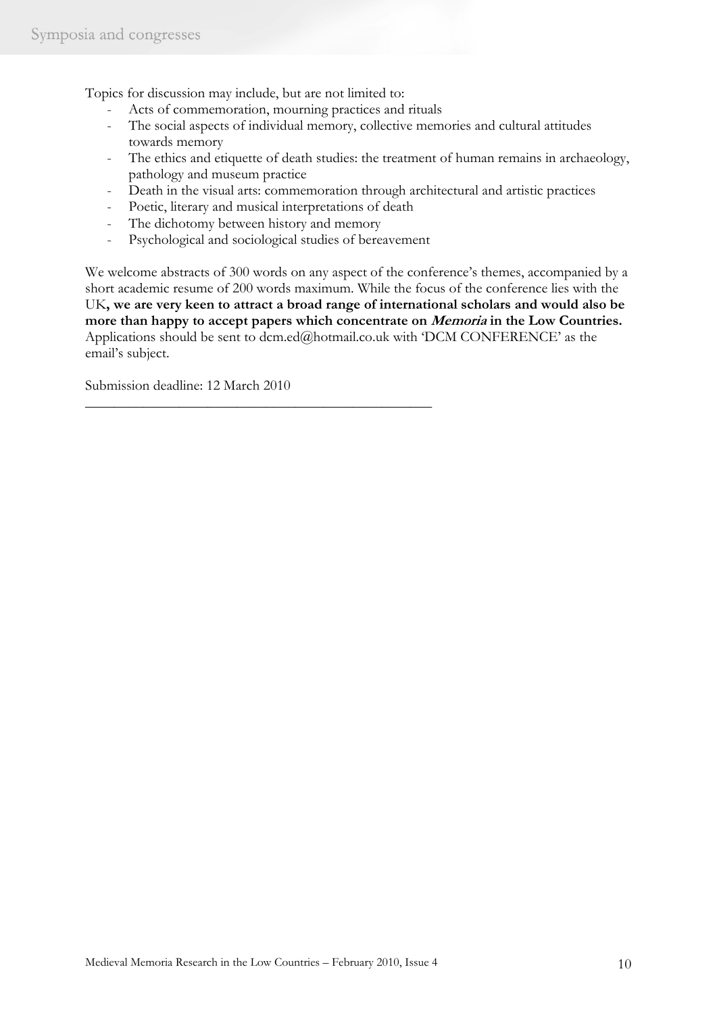Topics for discussion may include, but are not limited to:

- Acts of commemoration, mourning practices and rituals
- The social aspects of individual memory, collective memories and cultural attitudes towards memory
- The ethics and etiquette of death studies: the treatment of human remains in archaeology, pathology and museum practice
- Death in the visual arts: commemoration through architectural and artistic practices
- Poetic, literary and musical interpretations of death

\_\_\_\_\_\_\_\_\_\_\_\_\_\_\_\_\_\_\_\_\_\_\_\_\_\_\_\_\_\_\_\_\_\_\_\_\_\_\_\_\_\_\_\_\_\_\_\_

- The dichotomy between history and memory
- Psychological and sociological studies of bereavement

We welcome abstracts of 300 words on any aspect of the conference's themes, accompanied by a short academic resume of 200 words maximum. While the focus of the conference lies with the UK**, we are very keen to attract a broad range of international scholars and would also be more than happy to accept papers which concentrate on Memoria in the Low Countries.** Applications should be sent to dcm.ed@hotmail.co.uk with 'DCM CONFERENCE' as the email's subject.

Submission deadline: 12 March 2010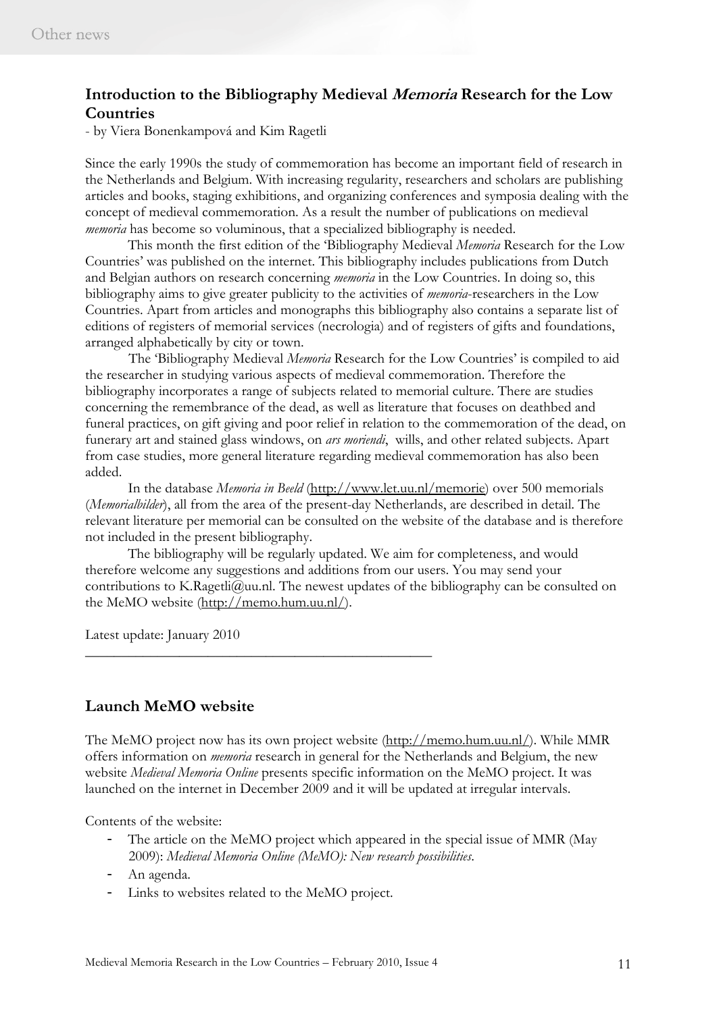# **Introduction to the Bibliography Medieval Memoria Research for the Low Countries**

- by Viera Bonenkampová and Kim Ragetli

Since the early 1990s the study of commemoration has become an important field of research in the Netherlands and Belgium. With increasing regularity, researchers and scholars are publishing articles and books, staging exhibitions, and organizing conferences and symposia dealing with the concept of medieval commemoration. As a result the number of publications on medieval *memoria* has become so voluminous, that a specialized bibliography is needed.

This month the first edition of the 'Bibliography Medieval *Memoria* Research for the Low Countries' was published on the internet. This bibliography includes publications from Dutch and Belgian authors on research concerning *memoria* in the Low Countries. In doing so, this bibliography aims to give greater publicity to the activities of *memoria*-researchers in the Low Countries. Apart from articles and monographs this bibliography also contains a separate list of editions of registers of memorial services (necrologia) and of registers of gifts and foundations, arranged alphabetically by city or town.

The 'Bibliography Medieval *Memoria* Research for the Low Countries' is compiled to aid the researcher in studying various aspects of medieval commemoration. Therefore the bibliography incorporates a range of subjects related to memorial culture. There are studies concerning the remembrance of the dead, as well as literature that focuses on deathbed and funeral practices, on gift giving and poor relief in relation to the commemoration of the dead, on funerary art and stained glass windows, on *ars moriendi*, wills, and other related subjects. Apart from case studies, more general literature regarding medieval commemoration has also been added.

 In the database *Memoria in Beeld* (http://www.let.uu.nl/memorie) over 500 memorials (*Memorialbilder*), all from the area of the present-day Netherlands, are described in detail. The relevant literature per memorial can be consulted on the website of the database and is therefore not included in the present bibliography.

 The bibliography will be regularly updated. We aim for completeness, and would therefore welcome any suggestions and additions from our users. You may send your contributions to K.Ragetli@uu.nl. The newest updates of the bibliography can be consulted on the MeMO website (http://memo.hum.uu.nl/).

Latest update: January 2010

# **Launch MeMO website**

The MeMO project now has its own project website (http://memo.hum.uu.nl/). While MMR offers information on *memoria* research in general for the Netherlands and Belgium, the new website *Medieval Memoria Online* presents specific information on the MeMO project. It was launched on the internet in December 2009 and it will be updated at irregular intervals.

Contents of the website:

- The article on the MeMO project which appeared in the special issue of MMR (May 2009): *Medieval Memoria Online (MeMO): New research possibilities*.
- An agenda.
- Links to websites related to the MeMO project.

\_\_\_\_\_\_\_\_\_\_\_\_\_\_\_\_\_\_\_\_\_\_\_\_\_\_\_\_\_\_\_\_\_\_\_\_\_\_\_\_\_\_\_\_\_\_\_\_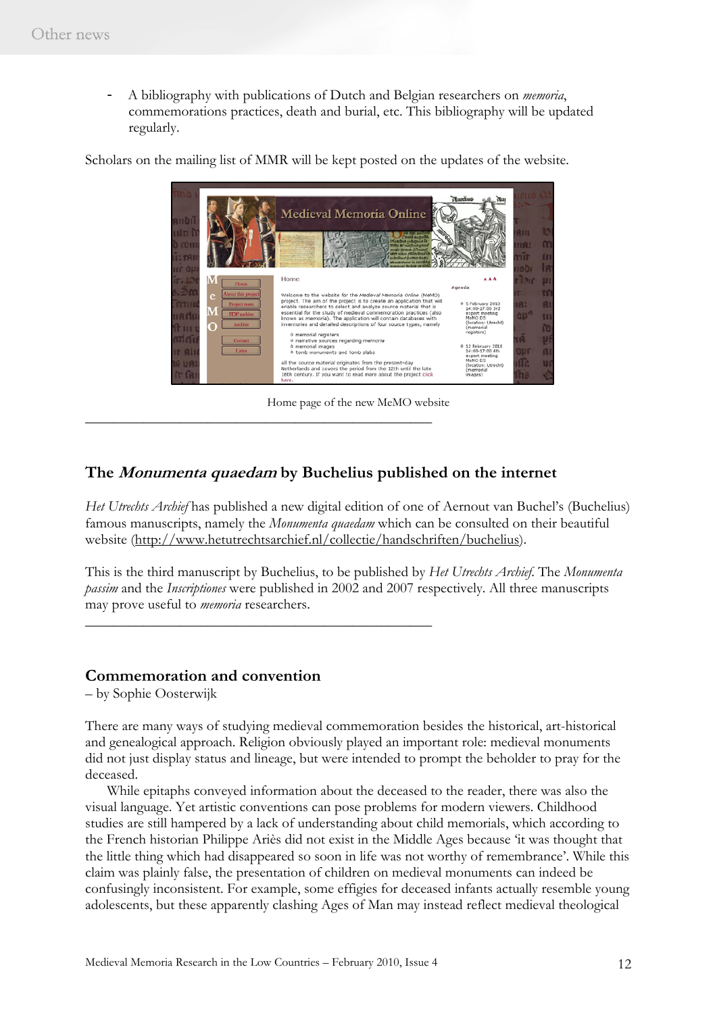- A bibliography with publications of Dutch and Belgian researchers on *memoria*, commemorations practices, death and burial, etc. This bibliography will be updated regularly.

Scholars on the mailing list of MMR will be kept posted on the updates of the website.



Home page of the new MeMO website

# **The Monumenta quaedam by Buchelius published on the internet**

\_\_\_\_\_\_\_\_\_\_\_\_\_\_\_\_\_\_\_\_\_\_\_\_\_\_\_\_\_\_\_\_\_\_\_\_\_\_\_\_\_\_\_\_\_\_\_\_

\_\_\_\_\_\_\_\_\_\_\_\_\_\_\_\_\_\_\_\_\_\_\_\_\_\_\_\_\_\_\_\_\_\_\_\_\_\_\_\_\_\_\_\_\_\_\_\_

*Het Utrechts Archief* has published a new digital edition of one of Aernout van Buchel's (Buchelius) famous manuscripts, namely the *Monumenta quaedam* which can be consulted on their beautiful website (http://www.hetutrechtsarchief.nl/collectie/handschriften/buchelius).

This is the third manuscript by Buchelius, to be published by *Het Utrechts Archief*. The *Monumenta passim* and the *Inscriptiones* were published in 2002 and 2007 respectively. All three manuscripts may prove useful to *memoria* researchers.

#### **Commemoration and convention**

– by Sophie Oosterwijk

There are many ways of studying medieval commemoration besides the historical, art-historical and genealogical approach. Religion obviously played an important role: medieval monuments did not just display status and lineage, but were intended to prompt the beholder to pray for the deceased.

 While epitaphs conveyed information about the deceased to the reader, there was also the visual language. Yet artistic conventions can pose problems for modern viewers. Childhood studies are still hampered by a lack of understanding about child memorials, which according to the French historian Philippe Ariès did not exist in the Middle Ages because 'it was thought that the little thing which had disappeared so soon in life was not worthy of remembrance'. While this claim was plainly false, the presentation of children on medieval monuments can indeed be confusingly inconsistent. For example, some effigies for deceased infants actually resemble young adolescents, but these apparently clashing Ages of Man may instead reflect medieval theological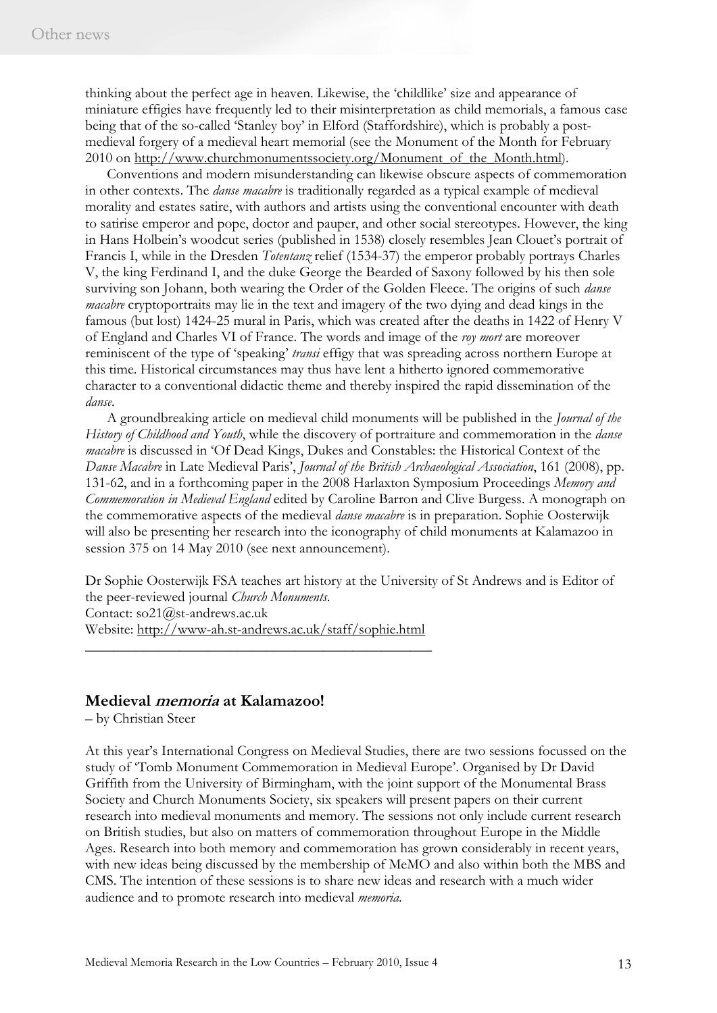thinking about the perfect age in heaven. Likewise, the 'childlike' size and appearance of miniature effigies have frequently led to their misinterpretation as child memorials, a famous case being that of the so-called 'Stanley boy' in Elford (Staffordshire), which is probably a postmedieval forgery of a medieval heart memorial (see the Monument of the Month for February 2010 on http://www.churchmonumentssociety.org/Monument\_of\_the\_Month.html).

 Conventions and modern misunderstanding can likewise obscure aspects of commemoration in other contexts. The *danse macabre* is traditionally regarded as a typical example of medieval morality and estates satire, with authors and artists using the conventional encounter with death to satirise emperor and pope, doctor and pauper, and other social stereotypes. However, the king in Hans Holbein's woodcut series (published in 1538) closely resembles Jean Clouet's portrait of Francis I, while in the Dresden *Totentanz* relief (1534-37) the emperor probably portrays Charles V, the king Ferdinand I, and the duke George the Bearded of Saxony followed by his then sole surviving son Johann, both wearing the Order of the Golden Fleece. The origins of such *danse macabre* cryptoportraits may lie in the text and imagery of the two dying and dead kings in the famous (but lost) 1424-25 mural in Paris, which was created after the deaths in 1422 of Henry V of England and Charles VI of France. The words and image of the *roy mort* are moreover reminiscent of the type of 'speaking' *transi* effigy that was spreading across northern Europe at this time. Historical circumstances may thus have lent a hitherto ignored commemorative character to a conventional didactic theme and thereby inspired the rapid dissemination of the *danse*.

 A groundbreaking article on medieval child monuments will be published in the *Journal of the History of Childhood and Youth*, while the discovery of portraiture and commemoration in the *danse macabre* is discussed in 'Of Dead Kings, Dukes and Constables: the Historical Context of the *Danse Macabre* in Late Medieval Paris', *Journal of the British Archaeological Association*, 161 (2008), pp. 131-62, and in a forthcoming paper in the 2008 Harlaxton Symposium Proceedings *Memory and Commemoration in Medieval England* edited by Caroline Barron and Clive Burgess. A monograph on the commemorative aspects of the medieval *danse macabre* is in preparation. Sophie Oosterwijk will also be presenting her research into the iconography of child monuments at Kalamazoo in session 375 on 14 May 2010 (see next announcement).

Dr Sophie Oosterwijk FSA teaches art history at the University of St Andrews and is Editor of the peer-reviewed journal *Church Monuments*. Contact: so21@st-andrews.ac.uk Website: http://www-ah.st-andrews.ac.uk/staff/sophie.html

#### **Medieval memoria at Kalamazoo!**

– by Christian Steer

At this year's International Congress on Medieval Studies, there are two sessions focussed on the study of 'Tomb Monument Commemoration in Medieval Europe'. Organised by Dr David Griffith from the University of Birmingham, with the joint support of the Monumental Brass Society and Church Monuments Society, six speakers will present papers on their current research into medieval monuments and memory. The sessions not only include current research on British studies, but also on matters of commemoration throughout Europe in the Middle Ages. Research into both memory and commemoration has grown considerably in recent years, with new ideas being discussed by the membership of MeMO and also within both the MBS and CMS. The intention of these sessions is to share new ideas and research with a much wider audience and to promote research into medieval *memoria*.

\_\_\_\_\_\_\_\_\_\_\_\_\_\_\_\_\_\_\_\_\_\_\_\_\_\_\_\_\_\_\_\_\_\_\_\_\_\_\_\_\_\_\_\_\_\_\_\_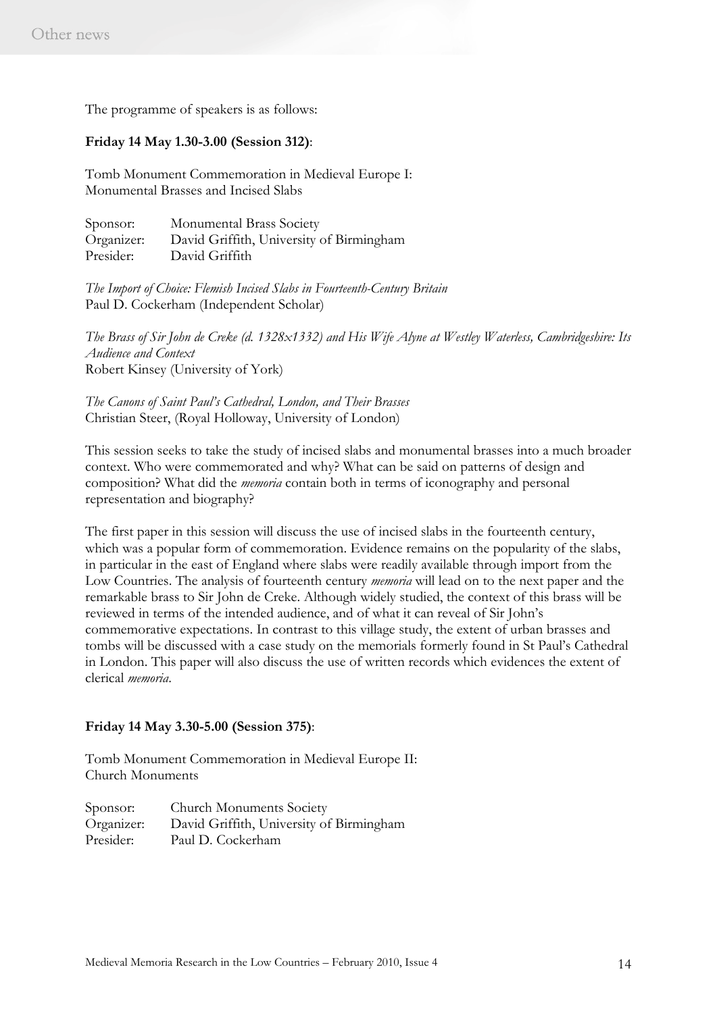The programme of speakers is as follows:

#### **Friday 14 May 1.30-3.00 (Session 312)**:

Tomb Monument Commemoration in Medieval Europe I: Monumental Brasses and Incised Slabs

Sponsor: Monumental Brass Society Organizer: David Griffith, University of Birmingham Presider: David Griffith

*The Import of Choice: Flemish Incised Slabs in Fourteenth-Century Britain* Paul D. Cockerham (Independent Scholar)

*The Brass of Sir John de Creke (d. 1328x1332) and His Wife Alyne at Westley Waterless, Cambridgeshire: Its Audience and Context*  Robert Kinsey (University of York)

*The Canons of Saint Paul's Cathedral, London, and Their Brasses* Christian Steer, (Royal Holloway, University of London)

This session seeks to take the study of incised slabs and monumental brasses into a much broader context. Who were commemorated and why? What can be said on patterns of design and composition? What did the *memoria* contain both in terms of iconography and personal representation and biography?

The first paper in this session will discuss the use of incised slabs in the fourteenth century, which was a popular form of commemoration. Evidence remains on the popularity of the slabs, in particular in the east of England where slabs were readily available through import from the Low Countries. The analysis of fourteenth century *memoria* will lead on to the next paper and the remarkable brass to Sir John de Creke. Although widely studied, the context of this brass will be reviewed in terms of the intended audience, and of what it can reveal of Sir John's commemorative expectations. In contrast to this village study, the extent of urban brasses and tombs will be discussed with a case study on the memorials formerly found in St Paul's Cathedral in London. This paper will also discuss the use of written records which evidences the extent of clerical *memoria*.

#### **Friday 14 May 3.30-5.00 (Session 375)**:

Tomb Monument Commemoration in Medieval Europe II: Church Monuments

Sponsor: Church Monuments Society Organizer: David Griffith, University of Birmingham Presider: Paul D. Cockerham